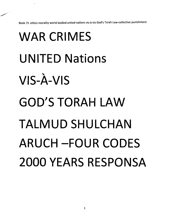*Book 73 ethics morality world bodied united nations vis-a-vis God's Torah Law-collective punishment*

## *WAR CRIMES UNITED Nations VIS-A-VIS GOD'S TORAH LAW TALMUD SHULCHAN ARUCH -FOUR CODES 2000 YEARS RESPONSA*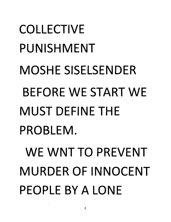### *COLLECTIVE PUNISHMENT MOSHE SISELSENDER BEFORE WE START WE MUST DEFINE THE PROBLEM.*

*WE WNT TO PREVENT MURDER OF INNOCENT PEOPLE BY A LONE*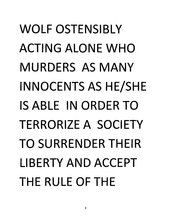### *WOLF OSTENSIBLY ACTING ALONE WHO MURDERS AS MANY INNOCENTS AS HE/SHE IS ABLE IN ORDER TO TERRORIZE A SOCIETY TO SURRENDER THEIR LIBERTY AND ACCEPT THE RULE OF THE*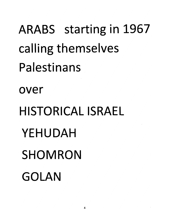#### *ARABS starting in 1967 calling themselves Palestinans*

*over*

*HISTORICAL ISRAEL YEHUDAH SHOMRON GOLAN*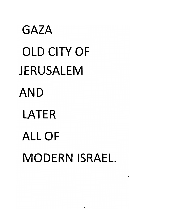*GAZA OLD CITY OF JERUSALEM AND LATER ALL OF MODERN ISRAEL*

 $\overline{\phantom{0}}$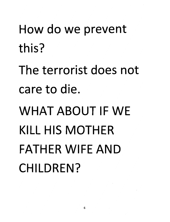*How do we prevent this?*

*The terrorist does not care to die.*

*WHAT ABOUT IF WE KILL HIS MOTHER FATHER WIFE AND CHILDREN?*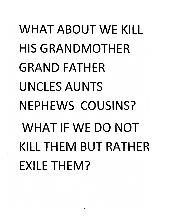### *WHAT ABOUT WE KILL HIS GRANDMOTHER GRAND FATHER UNCLES AUNTS NEPHEWS COUSINS? WHAT IF WE DO NOT KILLTHEM BUT RATHER EXILE THEM?*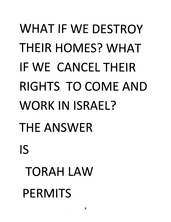## *WHAT IF WE DESTROY THEIR HOMES? WHAT IF WE CANCELTHEIR RIGHTS TO COME AND WORK IN ISRAEL? THE ANSWER IS TO RAH LAW PERMITS*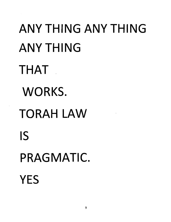*ANY THING ANY THING ANYTHING THAT WORKS. TORAH LAW IS PRAGMATIC. YES*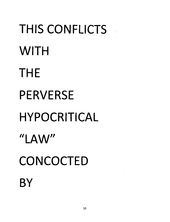# *THIS CONFLICTS WITH THE PERVERSE HYPOCRITICAL "LAW" CONCOCTED BY*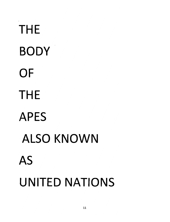*THE BODY OF THE APES ALSO KNOWN AS UNITED NATIONS*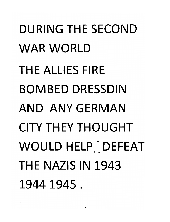*DURING THE SECOND WAR WORLD THE ALLIES FIRE BOMBED DRESSDIN AND ANY GERMAN CITY THEY THOUGHT WOULD HELP ' DEFEAT THE NAZIS IN 1943 1944 1945 .*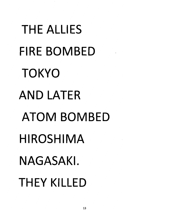*THE ALLIES FIRE BOMBED TOKYO AND LATER ATOM BOMBED HIROSHIMA NAGASAKI. THEY KILLED*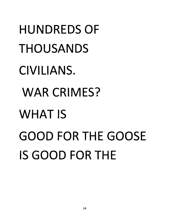*HUNDREDS OF THOUSANDS CIVILIANS. WAR CRIMES? WHAT IS GOOD FORTHE GOOSE IS GOOD FOR THE*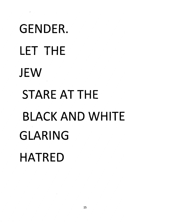# *GENDER. LET THE JEW STARE AT THE BLACK AND WHITE GLARING HATRED*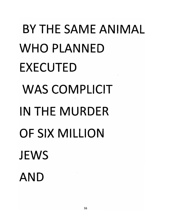# *BY THE SAME ANIMAL WHO PLANNED EXECUTED WAS COMPLICIT IN THE MURDER OF SIX MILLION JEWS AND*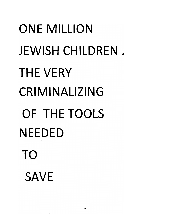## *ONE MILLION JEWISH CHILDREN THE VERY CRIMINALIZING OF THE TOOLS NEEDED TO SAVE*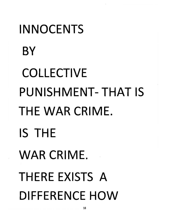## *INNOCENTS BY COLLECTIVE PUNISHMENT-THAT IS THE WAR CRIME. IS THE WAR CRIME. THERE EXISTS A DIFFERENCE HOW*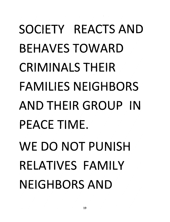### *SOCIETY REACTS AND BEHAVES TOWARD CRIMINALS THEIR FAMILIES NEIGHBORS AND THEIR GROUP IN PEACETIME. WE DO NOT PUNISH RELATIVES FAMILY NEIGHBORS AND*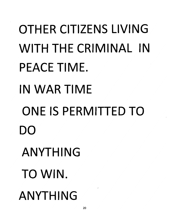*OTHER CITIZENS LIVING WITH THE CRIMINAL IN PEACETIME. IN WAR TIME ONE IS PERMITTED TO DO ANYTHING TO WIN. ANYTHING*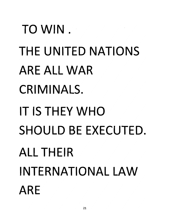*TO WIN . THE UNITED NATIONS ARE ALL WAR CRIMINALS. IT IS THEY WHO SHOULD BE EXECUTED. ALL THEIR INTERNATIONAL LAW ARE*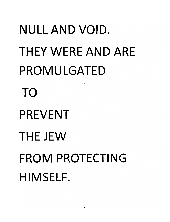## *NULL AND VOID. THEY WERE AND ARE PROMULGATED TO PREVENT THE JEW FROM PROTECTING HIMSELF.*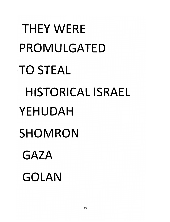## *THEY WERE PROMULGATED TO STEAL HISTORICAL ISRAEL YEHUDAH SHOMRON GAZA GOLAN*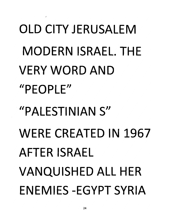## *OLD CITY JERUSALEM MODERN ISRAEL. THE VERY WORD AND "PEOPLE" "PALESTINIAN S" WERE CREATED IN 1967 AFTER ISRAEL VANQUISHED ALL HER ENEMIES-EGYPT SYRIA*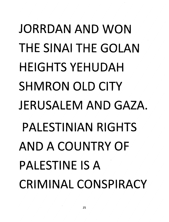### *JORRDAN AND WON THE SINAI THE GOLAN HEIGHTS YEHUDAH SHMRON OLD CITY JERUSALEM AND GAZA. PALESTINIAN RIGHTS AND A COUNTRY OF PALESTINE IS A CRIMINAL CONSPIRACY*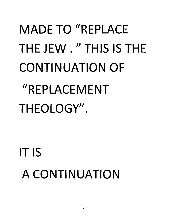## *MADE TO "REPLACE THE JEW. "THIS IS THE CONTINUATION OF "REPLACEMENT THEOLOGY".*

*IT IS A CONTINUATION*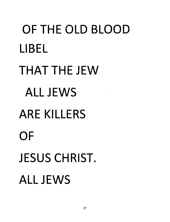# *OF THE OLD BLOOD LIBEL THAT THE JEW ALL JEWS ARE KILLERS OF JESUS CHRIST. ALL JEWS*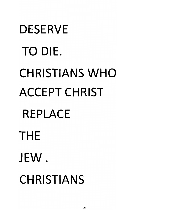# *DESERVE TO DIE. CHRISTIANS WHO ACCEPT CHRIST REPLACE THE JEW. CHRISTIANS*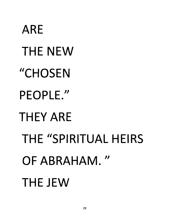# *ARE THE NEW "CHOSEN PEOPLE." THEY ARE THE "SPIRITUAL HEIRS OF ABRAHAM." THE JEW*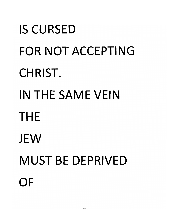# *IS CURSED FOR NOT ACCEPTING CHRIST. IN THE SAME VEIN THE JEW MUST BE DEPRIVED OF*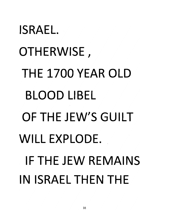# *ISRAEL. OTHERWISE, THE 1700 YEAR OLD BLOOD LIBEL OF THE JEW'S GUILT WILL EXPLODE. IF THE JEW REMAINS INISRAELTHENTHE*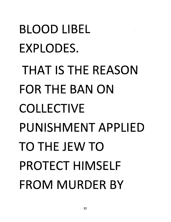*BLOOD LIBEL EXPLODES. THAT IS THE REASON FORTHEBANON COLLECTIVE PUNISHMENT APPLIED TO THE JEW TO PROTECT HIMSELF FROM MURDER BY*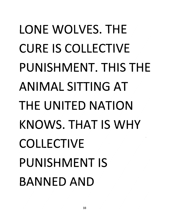#### *LONE WOLVES. THE CURE IS COLLECTIVE PUNISHMENT. THIS THE ANIMAL SITTING AT THE UNITED NATION KNOWS. THAT IS WHY COLLECTIVE PUNISHMENT IS BANNED AND*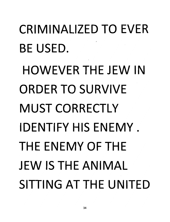### *CRIMINALIZED TO EVER BE USED. HOWEVER THE JEW IN ORDER TO SURVIVE MUST CORRECTLY IDENTIFY HIS ENEMY. THE ENEMY OF THE JEW IS THE ANIMAL SITTING AT THE UNITED*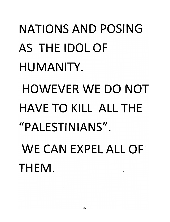### *NATIONS AND POSING AS THE IDOL OF HUMANITY. HOWEVER WE DO NOT HAVE TO KILL ALL THE "PALESTINIANS". WE CAN EXPEL ALL OF THEM.*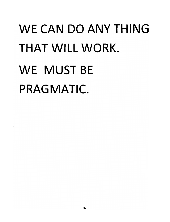#### *WE CAN DO ANY THING THAT WILL WORK. WE MUST BE PRAGMATIC.*